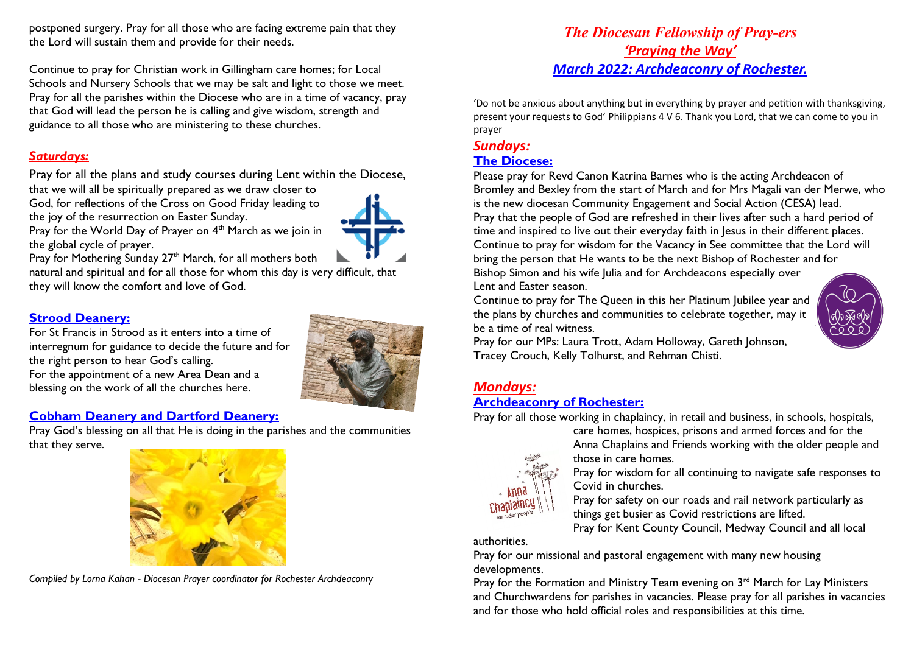postponed surgery. Pray for all those who are facing extreme pain that they the Lord will sustain them and provide for their needs.

Continue to pray for Christian work in Gillingham care homes; for Local Schools and Nursery Schools that we may be salt and light to those we meet. Pray for all the parishes within the Diocese who are in a time of vacancy, pray that God will lead the person he is calling and give wisdom, strength and guidance to all those who are ministering to these churches.

### *Saturdays:*

Pray for all the plans and study courses during Lent within the Diocese,

that we will all be spiritually prepared as we draw closer to God, for reflections of the Cross on Good Friday leading to the joy of the resurrection on Easter Sunday.



Pray for the World Day of Prayer on  $4<sup>th</sup>$  March as we join in the global cycle of prayer.

Pray for Mothering Sunday  $27<sup>th</sup>$  March, for all mothers both

natural and spiritual and for all those for whom this day is very difficult, that they will know the comfort and love of God.

### **Strood Deanery:**

For St Francis in Strood as it enters into a time of interregnum for guidance to decide the future and for the right person to hear God's calling. For the appointment of a new Area Dean and a blessing on the work of all the churches here.



# **Cobham Deanery and Dartford Deanery:**

Pray God's blessing on all that He is doing in the parishes and the communities that they serve.



*Compiled by Lorna Kahan - Diocesan Prayer coordinator for Rochester Archdeaconry* 

# *The Diocesan Fellowship of Pray-ers 'Praying the Way' March 2022: Archdeaconry of Rochester.*

'Do not be anxious about anything but in everything by prayer and petition with thanksgiving, present your requests to God' Philippians 4 V 6. Thank you Lord, that we can come to you in prayer

# *Sundays:*

### **The Diocese:**

Please pray for Revd Canon Katrina Barnes who is the acting Archdeacon of Bromley and Bexley from the start of March and for Mrs Magali van der Merwe, who is the new diocesan Community Engagement and Social Action (CESA) lead. Pray that the people of God are refreshed in their lives after such a hard period of time and inspired to live out their everyday faith in Jesus in their different places. Continue to pray for wisdom for the Vacancy in See committee that the Lord will bring the person that He wants to be the next Bishop of Rochester and for

Bishop Simon and his wife Julia and for Archdeacons especially over Lent and Easter season.

Continue to pray for The Queen in this her Platinum Jubilee year and the plans by churches and communities to celebrate together, may it be a time of real witness.



Pray for our MPs: Laura Trott, Adam Holloway, Gareth Johnson, Tracey Crouch, Kelly Tolhurst, and Rehman Chisti.

### *Mondays:*

### **Archdeaconry of Rochester:**

Pray for all those working in chaplaincy, in retail and business, in schools, hospitals,



care homes, hospices, prisons and armed forces and for the Anna Chaplains and Friends working with the older people and those in care homes.

Pray for wisdom for all continuing to navigate safe responses to Covid in churches.

Pray for safety on our roads and rail network particularly as things get busier as Covid restrictions are lifted.

Pray for Kent County Council, Medway Council and all local

authorities.

Pray for our missional and pastoral engagement with many new housing developments.

Pray for the Formation and Ministry Team evening on  $3<sup>rd</sup>$  March for Lay Ministers and Churchwardens for parishes in vacancies. Please pray for all parishes in vacancies and for those who hold official roles and responsibilities at this time.